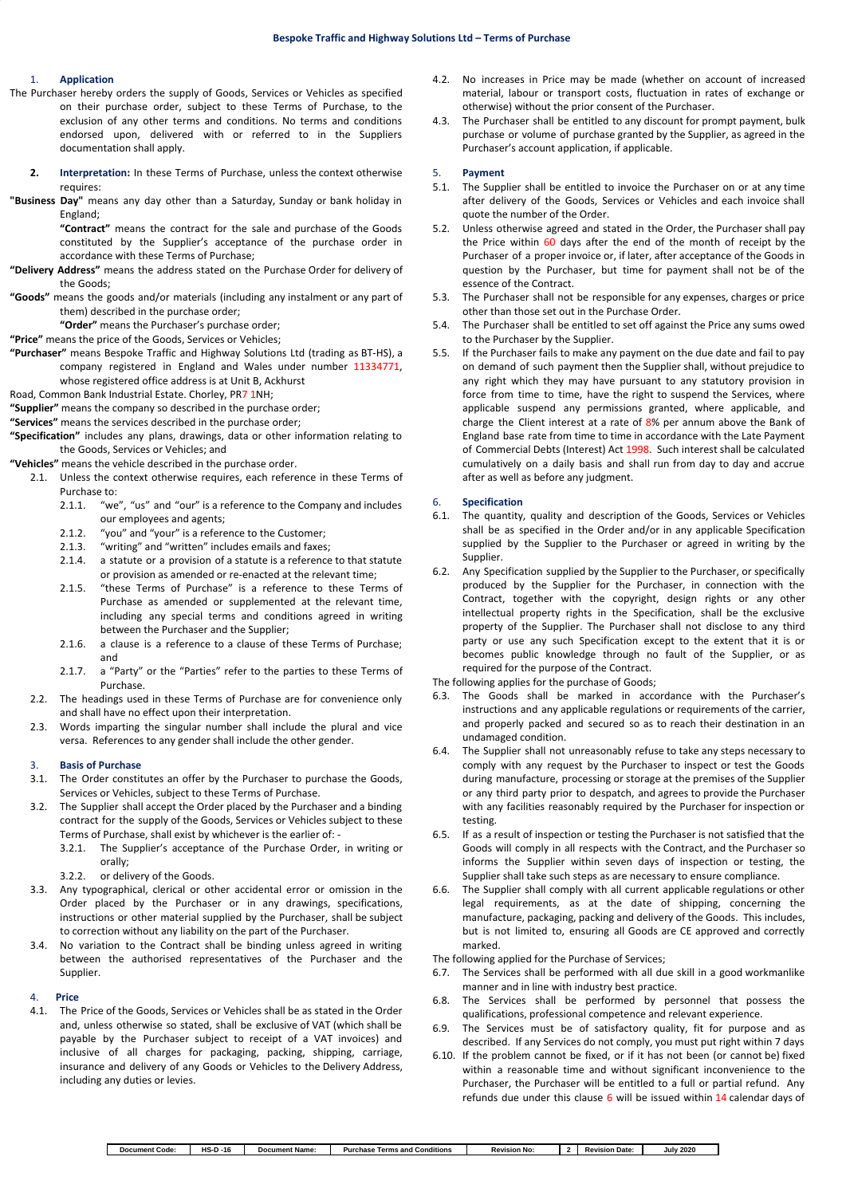### 1. **Application**

- The Purchaser hereby orders the supply of Goods, Services or Vehicles as specified on their purchase order, subject to these Terms of Purchase, to the exclusion of any other terms and conditions. No terms and conditions endorsed upon, delivered with or referred to in the Suppliers documentation shall apply.
	- **2. Interpretation:** In these Terms of Purchase, unless the context otherwise requires:
- **"Business Day"** means any day other than a Saturday, Sunday or bank holiday in England;

**"Contract"** means the contract for the sale and purchase of the Goods constituted by the Supplier's acceptance of the purchase order in accordance with these Terms of Purchase;

- **"Delivery Address"** means the address stated on the Purchase Order for delivery of the Goods;
- **"Goods"** means the goods and/or materials (including any instalment or any part of them) described in the purchase order;

**"Order"** means the Purchaser's purchase order;

**"Price"** means the price of the Goods, Services or Vehicles;

- **"Purchaser"** means Bespoke Traffic and Highway Solutions Ltd (trading as BT-HS), a company registered in England and Wales under number 11334771, whose registered office address is at Unit B, Ackhurst
- Road, Common Bank Industrial Estate. Chorley, PR7 1NH;

**"Supplier"** means the company so described in the purchase order;

**"Services"** means the services described in the purchase order;

- **"Specification"** includes any plans, drawings, data or other information relating to the Goods, Services or Vehicles; and
- **"Vehicles"** means the vehicle described in the purchase order.
	- 2.1. Unless the context otherwise requires, each reference in these Terms of Purchase to:
		- 2.1.1. "we", "us" and "our" is a reference to the Company and includes our employees and agents;
		- 2.1.2. "you" and "your" is a reference to the Customer;<br>2.1.3. "writing" and "written" includes emails and faxes
		- "writing" and "written" includes emails and faxes;
		- 2.1.4. a statute or a provision of a statute is a reference to that statute or provision as amended or re-enacted at the relevant time;
		- 2.1.5. "these Terms of Purchase" is a reference to these Terms of Purchase as amended or supplemented at the relevant time, including any special terms and conditions agreed in writing between the Purchaser and the Supplier;
		- 2.1.6. a clause is a reference to a clause of these Terms of Purchase; and
		- 2.1.7. a "Party" or the "Parties" refer to the parties to these Terms of Purchase.
	- 2.2. The headings used in these Terms of Purchase are for convenience only and shall have no effect upon their interpretation.
	- 2.3. Words imparting the singular number shall include the plural and vice versa. References to any gender shall include the other gender.

### 3. **Basis of Purchase**

- 3.1. The Order constitutes an offer by the Purchaser to purchase the Goods, Services or Vehicles, subject to these Terms of Purchase.
- 3.2. The Supplier shall accept the Order placed by the Purchaser and a binding contract for the supply of the Goods, Services or Vehicles subject to these Terms of Purchase, shall exist by whichever is the earlier of: -
	- 3.2.1. The Supplier's acceptance of the Purchase Order, in writing or orally;
	- 3.2.2. or delivery of the Goods.
- 3.3. Any typographical, clerical or other accidental error or omission in the Order placed by the Purchaser or in any drawings, specifications, instructions or other material supplied by the Purchaser, shall be subject to correction without any liability on the part of the Purchaser.
- 3.4. No variation to the Contract shall be binding unless agreed in writing between the authorised representatives of the Purchaser and the Supplier.

#### 4. **Price**

4.1. The Price of the Goods, Services or Vehicles shall be as stated in the Order and, unless otherwise so stated, shall be exclusive of VAT (which shall be payable by the Purchaser subject to receipt of a VAT invoices) and inclusive of all charges for packaging, packing, shipping, carriage, insurance and delivery of any Goods or Vehicles to the Delivery Address, including any duties or levies.

- 4.2. No increases in Price may be made (whether on account of increased material, labour or transport costs, fluctuation in rates of exchange or otherwise) without the prior consent of the Purchaser.
- 4.3. The Purchaser shall be entitled to any discount for prompt payment, bulk purchase or volume of purchase granted by the Supplier, as agreed in the Purchaser's account application, if applicable.

#### 5. **Payment**

- 5.1. The Supplier shall be entitled to invoice the Purchaser on or at any time after delivery of the Goods, Services or Vehicles and each invoice shall quote the number of the Order.
- 5.2. Unless otherwise agreed and stated in the Order, the Purchaser shall pay the Price within 60 days after the end of the month of receipt by the Purchaser of a proper invoice or, if later, after acceptance of the Goods in question by the Purchaser, but time for payment shall not be of the essence of the Contract.
- 5.3. The Purchaser shall not be responsible for any expenses, charges or price other than those set out in the Purchase Order.
- 5.4. The Purchaser shall be entitled to set off against the Price any sums owed to the Purchaser by the Supplier.
- 5.5. If the Purchaser fails to make any payment on the due date and fail to pay on demand of such payment then the Supplier shall, without prejudice to any right which they may have pursuant to any statutory provision in force from time to time, have the right to suspend the Services, where applicable suspend any permissions granted, where applicable, and charge the Client interest at a rate of 8% per annum above the Bank of England base rate from time to time in accordance with the Late Payment of Commercial Debts (Interest) Act 1998. Such interest shall be calculated cumulatively on a daily basis and shall run from day to day and accrue after as well as before any judgment.

#### 6. **Specification**

- 6.1. The quantity, quality and description of the Goods, Services or Vehicles shall be as specified in the Order and/or in any applicable Specification supplied by the Supplier to the Purchaser or agreed in writing by the Supplier.
- 6.2. Any Specification supplied by the Supplier to the Purchaser, or specifically produced by the Supplier for the Purchaser, in connection with the Contract, together with the copyright, design rights or any other intellectual property rights in the Specification, shall be the exclusive property of the Supplier. The Purchaser shall not disclose to any third party or use any such Specification except to the extent that it is or becomes public knowledge through no fault of the Supplier, or as required for the purpose of the Contract.
- The following applies for the purchase of Goods;
- 6.3. The Goods shall be marked in accordance with the Purchaser's instructions and any applicable regulations or requirements of the carrier, and properly packed and secured so as to reach their destination in an undamaged condition.
- 6.4. The Supplier shall not unreasonably refuse to take any steps necessary to comply with any request by the Purchaser to inspect or test the Goods during manufacture, processing or storage at the premises of the Supplier or any third party prior to despatch, and agrees to provide the Purchaser with any facilities reasonably required by the Purchaser for inspection or testing.
- 6.5. If as a result of inspection or testing the Purchaser is not satisfied that the Goods will comply in all respects with the Contract, and the Purchaser so informs the Supplier within seven days of inspection or testing, the Supplier shall take such steps as are necessary to ensure compliance.
- 6.6. The Supplier shall comply with all current applicable regulations or other legal requirements, as at the date of shipping, concerning the manufacture, packaging, packing and delivery of the Goods. This includes, but is not limited to, ensuring all Goods are CE approved and correctly marked.

The following applied for the Purchase of Services;

- 6.7. The Services shall be performed with all due skill in a good workmanlike manner and in line with industry best practice.
- 6.8. The Services shall be performed by personnel that possess the qualifications, professional competence and relevant experience.
- 6.9. The Services must be of satisfactory quality, fit for purpose and as described. If any Services do not comply, you must put right within 7 days
- 6.10. If the problem cannot be fixed, or if it has not been (or cannot be) fixed within a reasonable time and without significant inconvenience to the Purchaser, the Purchaser will be entitled to a full or partial refund. Any refunds due under this clause 6 will be issued within 14 calendar days of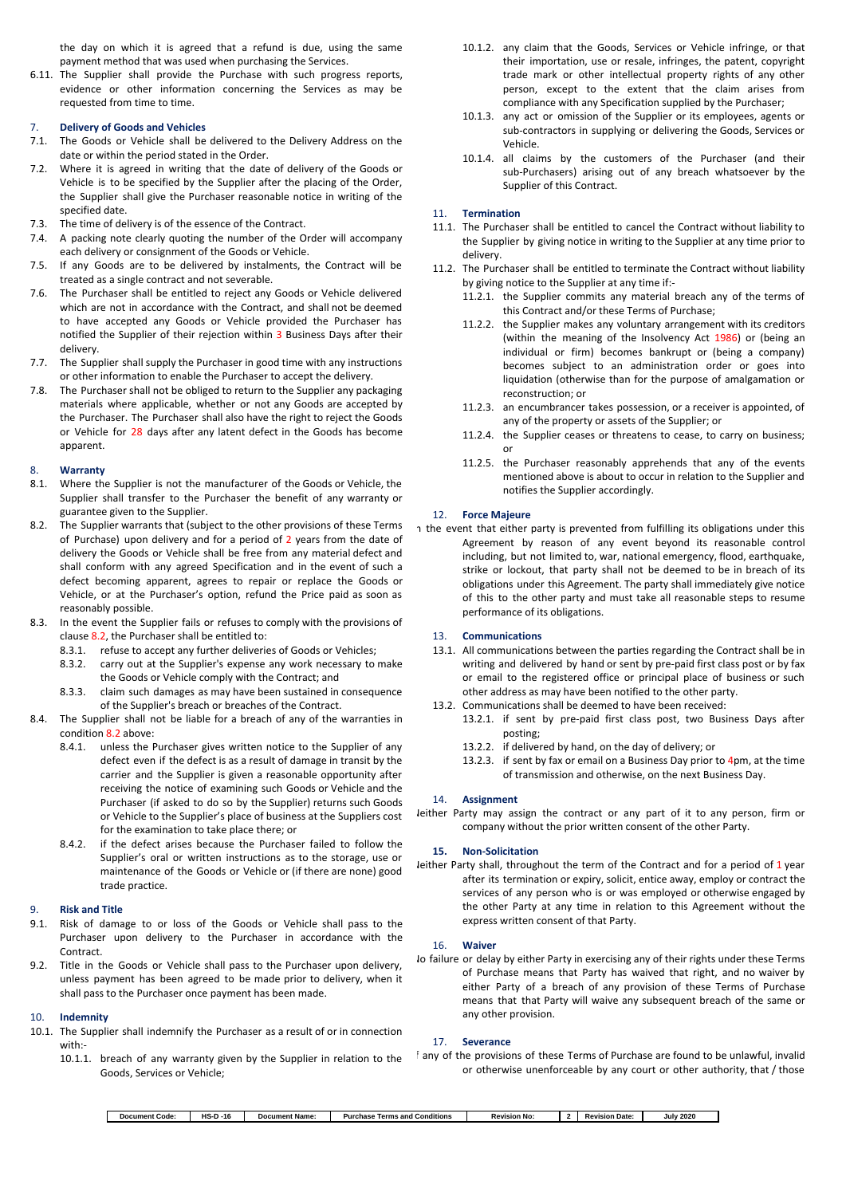the day on which it is agreed that a refund is due, using the same payment method that was used when purchasing the Services.

6.11. The Supplier shall provide the Purchase with such progress reports, evidence or other information concerning the Services as may be requested from time to time.

#### 7. **Delivery of Goods and Vehicles**

- 7.1. The Goods or Vehicle shall be delivered to the Delivery Address on the date or within the period stated in the Order.
- 7.2. Where it is agreed in writing that the date of delivery of the Goods or Vehicle is to be specified by the Supplier after the placing of the Order, the Supplier shall give the Purchaser reasonable notice in writing of the specified date.
- 7.3. The time of delivery is of the essence of the Contract.
- 7.4. A packing note clearly quoting the number of the Order will accompany each delivery or consignment of the Goods or Vehicle.
- 7.5. If any Goods are to be delivered by instalments, the Contract will be treated as a single contract and not severable.
- 7.6. The Purchaser shall be entitled to reject any Goods or Vehicle delivered which are not in accordance with the Contract, and shall not be deemed to have accepted any Goods or Vehicle provided the Purchaser has notified the Supplier of their rejection within 3 Business Days after their delivery.
- 7.7. The Supplier shall supply the Purchaser in good time with any instructions or other information to enable the Purchaser to accept the delivery.
- 7.8. The Purchaser shall not be obliged to return to the Supplier any packaging materials where applicable, whether or not any Goods are accepted by the Purchaser. The Purchaser shall also have the right to reject the Goods or Vehicle for 28 days after any latent defect in the Goods has become apparent.

#### 8. **Warranty**

- 8.1. Where the Supplier is not the manufacturer of the Goods or Vehicle, the Supplier shall transfer to the Purchaser the benefit of any warranty or guarantee given to the Supplier.
- 8.2. The Supplier warrants that (subject to the other provisions of these Terms of Purchase) upon delivery and for a period of 2 years from the date of delivery the Goods or Vehicle shall be free from any material defect and shall conform with any agreed Specification and in the event of such a defect becoming apparent, agrees to repair or replace the Goods or Vehicle, or at the Purchaser's option, refund the Price paid as soon as reasonably possible.
- 8.3. In the event the Supplier fails or refuses to comply with the provisions of clause 8.2, the Purchaser shall be entitled to:
	- 8.3.1. refuse to accept any further deliveries of Goods or Vehicles;
	- 8.3.2. carry out at the Supplier's expense any work necessary to make
	- the Goods or Vehicle comply with the Contract; and 8.3.3. claim such damages as may have been sustained in consequence of the Supplier's breach or breaches of the Contract.
- 8.4. The Supplier shall not be liable for a breach of any of the warranties in condition 8.2 above:
	- 8.4.1. unless the Purchaser gives written notice to the Supplier of any defect even if the defect is as a result of damage in transit by the carrier and the Supplier is given a reasonable opportunity after receiving the notice of examining such Goods or Vehicle and the Purchaser (if asked to do so by the Supplier) returns such Goods or Vehicle to the Supplier's place of business at the Suppliers cost for the examination to take place there; or
	- 8.4.2. if the defect arises because the Purchaser failed to follow the Supplier's oral or written instructions as to the storage, use or maintenance of the Goods or Vehicle or (if there are none) good trade practice.

### 9. **Risk and Title**

- 9.1. Risk of damage to or loss of the Goods or Vehicle shall pass to the Purchaser upon delivery to the Purchaser in accordance with the Contract.
- 9.2. Title in the Goods or Vehicle shall pass to the Purchaser upon delivery, unless payment has been agreed to be made prior to delivery, when it shall pass to the Purchaser once payment has been made.

# 10. **Indemnity**

- 10.1. The Supplier shall indemnify the Purchaser as a result of or in connection with:-
	- 10.1.1. breach of any warranty given by the Supplier in relation to the Goods, Services or Vehicle;
- 10.1.2. any claim that the Goods, Services or Vehicle infringe, or that their importation, use or resale, infringes, the patent, copyright trade mark or other intellectual property rights of any other person, except to the extent that the claim arises from compliance with any Specification supplied by the Purchaser;
- 10.1.3. any act or omission of the Supplier or its employees, agents or sub-contractors in supplying or delivering the Goods, Services or Vehicle.
- 10.1.4. all claims by the customers of the Purchaser (and their sub-Purchasers) arising out of any breach whatsoever by the Supplier of this Contract.

#### 11. **Termination**

- 11.1. The Purchaser shall be entitled to cancel the Contract without liability to the Supplier by giving notice in writing to the Supplier at any time prior to delivery.
- 11.2. The Purchaser shall be entitled to terminate the Contract without liability by giving notice to the Supplier at any time if:-
	- 11.2.1. the Supplier commits any material breach any of the terms of this Contract and/or these Terms of Purchase;
	- 11.2.2. the Supplier makes any voluntary arrangement with its creditors (within the meaning of the Insolvency Act 1986) or (being an individual or firm) becomes bankrupt or (being a company) becomes subject to an administration order or goes into liquidation (otherwise than for the purpose of amalgamation or reconstruction; or
	- 11.2.3. an encumbrancer takes possession, or a receiver is appointed, of any of the property or assets of the Supplier; or
	- 11.2.4. the Supplier ceases or threatens to cease, to carry on business; or
	- 11.2.5. the Purchaser reasonably apprehends that any of the events mentioned above is about to occur in relation to the Supplier and notifies the Supplier accordingly.

### 12. **Force Majeure**

n the event that either party is prevented from fulfilling its obligations under this Agreement by reason of any event beyond its reasonable control including, but not limited to, war, national emergency, flood, earthquake, strike or lockout, that party shall not be deemed to be in breach of its obligations under this Agreement. The party shall immediately give notice of this to the other party and must take all reasonable steps to resume performance of its obligations.

## 13. **Communications**

- 13.1. All communications between the parties regarding the Contract shall be in writing and delivered by hand or sent by pre-paid first class post or by fax or email to the registered office or principal place of business or such other address as may have been notified to the other party.
- 13.2. Communications shall be deemed to have been received:
	- 13.2.1. if sent by pre-paid first class post, two Business Days after posting;
		- 13.2.2. if delivered by hand, on the day of delivery; or
		- 13.2.3. if sent by fax or email on a Business Day prior to 4pm, at the time of transmission and otherwise, on the next Business Day.

#### 14. **Assignment**

Neither Party may assign the contract or any part of it to any person, firm or company without the prior written consent of the other Party.

### **15. Non-Solicitation**

Neither Party shall, throughout the term of the Contract and for a period of 1 year after its termination or expiry, solicit, entice away, employ or contract the services of any person who is or was employed or otherwise engaged by the other Party at any time in relation to this Agreement without the express written consent of that Party.

#### 16. **Waiver**

Io failure or delay by either Party in exercising any of their rights under these Terms of Purchase means that Party has waived that right, and no waiver by either Party of a breach of any provision of these Terms of Purchase means that that Party will waive any subsequent breach of the same or any other provision.

#### 17. **Severance**

f any of the provisions of these Terms of Purchase are found to be unlawful, invalid or otherwise unenforceable by any court or other authority, that / those